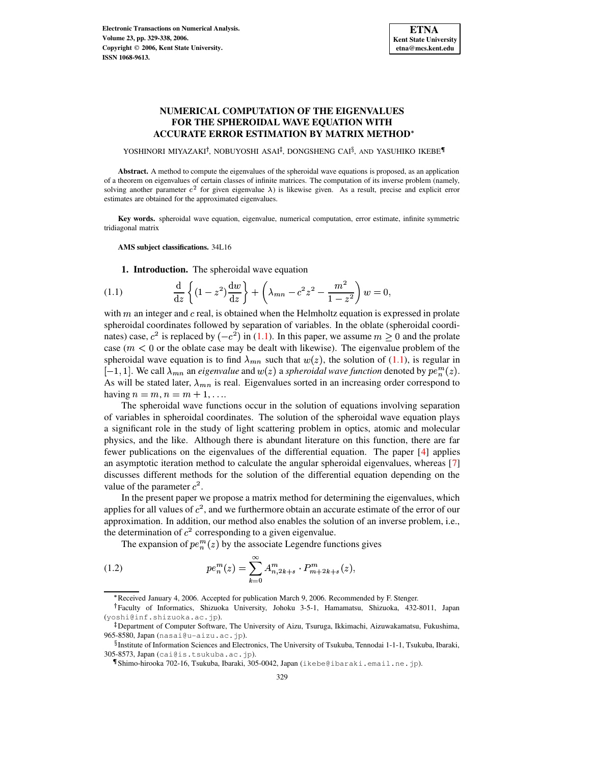# **NUMERICAL COMPUTATION OF THE EIGENVALUES FOR THE SPHEROIDAL WAVE EQUATION WITH ACCURATE ERROR ESTIMATION BY MATRIX METHOD**

YOSHINORI MIYAZAKI<sup>†</sup>, NOBUYOSHI ASAI<sup>‡</sup>, DONGSHENG CAI<sup>§</sup>, AND YASUHIKO IKEBE¶

**Abstract.** A method to compute the eigenvalues of the spheroidal wave equations is proposed, as an application of a theorem on eigenvalues of certain classes of infinite matrices. The computation of its inverse problem (namely, solving another parameter  $c^2$  for given eigenvalue  $\lambda$ ) is likewise given. As a result, precise and explicit error estimates are obtained for the approximated eigenvalues.

**Key words.** spheroidal wave equation, eigenvalue, numerical computation, error estimate, infinite symmetric tridiagonal matrix

**AMS subject classifications.** 34L16

**1. Introduction.** The spheroidal wave equation

<span id="page-0-0"></span>(1.1) 
$$
\frac{d}{dz}\left\{(1-z^2)\frac{dw}{dz}\right\} + \left(\lambda_{mn} - c^2z^2 - \frac{m^2}{1-z^2}\right)w = 0,
$$

with  $m$  an integer and  $c$  real, is obtained when the Helmholtz equation is expressed in prolate spheroidal coordinates followed by separation of variables. In the oblate (spheroidal coordispheroidal coordinates followed by separation of variables. In the obtainable (spheroidal coordinates) case,  $c^2$  is replaced by  $(-c^2)$  in [\(1.1\)](#page-0-0). In this paper, we assume  $m \ge 0$  and the prolate case ( $m < 0$  or the oblate case may be dealt with likewise). The eigenvalue problem of the spheroidal wave equation is to find  $\lambda_{mn}$  such that  $w(z)$ , the solution of [\(1.1\)](#page-0-0), is regular in Foldar wave equation is to find  $\lambda_{mn}$  such that  $w(z)$ , the solution of (1.1), is regular in<br>
1. We call  $\lambda_{mn}$  an *eigenvalue* and  $w(z)$  a *spheroidal wave function* denoted by  $pe_n^m(z)$ . As will be stated later,  $\lambda_{mn}$  is real. Eigenvalues sorted in an increasing order correspond to having  $n = m, n = m + 1, \ldots$ 

The spheroidal wave functions occur in the solution of equations involving separation of variables in spheroidal coordinates. The solution of the spheroidal wave equation plays a significant role in the study of light scattering problem in optics, atomic and molecular physics, and the like. Although there is abundant literature on this function, there are far fewer publications on the eigenvalues of the differential equation. The paper [\[4\]](#page-9-0) applies an asymptotic iteration method to calculate the angular spheroidal eigenvalues, whereas [\[7\]](#page-9-1) discusses different methods for the solution of the differential equation depending on the value of the parameter  $c^2$ .

In the present paper we propose a matrix method for determining the eigenvalues, which applies for all values of  $c^2$ , and we furthermore obtain an accurate estimate of the error of our approximation. In addition, our method also enables the solution of an inverse problem, i.e., approximation. In addition, our include also chaotes the solution of  $c^2$  corresponding to a given eigenvalue.

<span id="page-0-1"></span>The expansion of  $pe_n^m(z)$  by the associate Legendre functions gives

(1.2) 
$$
pe_n^m(z) = \sum_{k=0}^{\infty} A_{n,2k+s}^m \cdot P_{m+2k+s}^m(z),
$$

Received January 4, 2006. Accepted for publication March 9, 2006. Recommended by F. Stenger.

Faculty of Informatics, Shizuoka University, Johoku 3-5-1, Hamamatsu, Shizuoka, 432-8011, Japan (yoshi@inf.shizuoka.ac.jp).

<sup>-</sup> Department of Computer Software, The University of Aizu, Tsuruga, Ikkimachi, Aizuwakamatsu, Fukushima, 965-8580, Japan (nasai@u-aizu.ac.jp).

 $\S$ Institute of Information Sciences and Electronics, The University of Tsukuba, Tennodai 1-1-1, Tsukuba, Ibaraki, 305-8573, Japan (cai@is.tsukuba.ac.jp).

Shimo-hirooka 702-16, Tsukuba, Ibaraki, 305-0042, Japan (ikebe@ibaraki.email.ne.jp).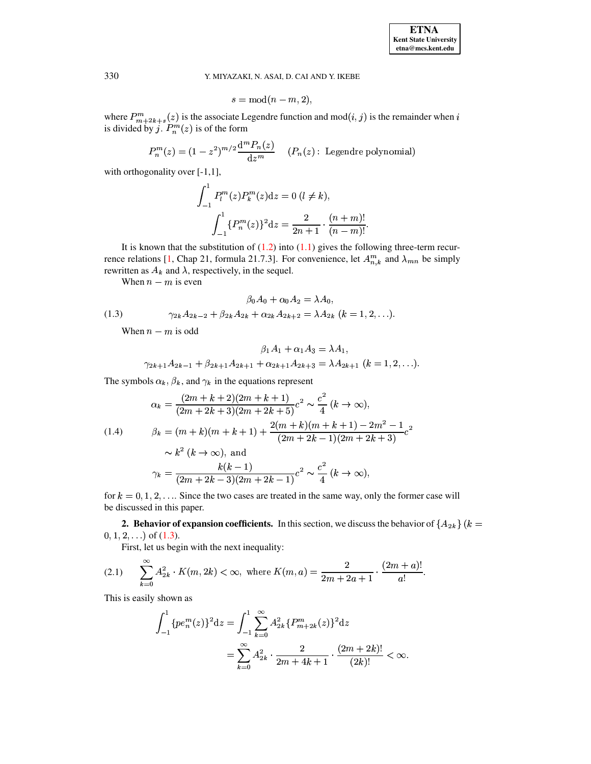$$
s = \bmod(n-m, 2),
$$

where  $P_{m+2k+s}^m(z)$  is the associate Legendre function and mod $(i, j)$  is the remainder when i is divided by j.  $P_n^m(z)$  is of the form

$$
P_n^m(z) = (1 - z^2)^{m/2} \frac{d^m P_n(z)}{dz^m} \quad (P_n(z): \text{ Legendre polynomial})
$$

with orthogonality over  $[-1,1]$ ,

$$
\int_{-1}^{1} P_{l}^{m}(z) P_{k}^{m}(z) dz = 0 (l \neq k),
$$

$$
\int_{-1}^{1} \{P_{n}^{m}(z)\}^{2} dz = \frac{2}{2n+1} \cdot \frac{(n+m)!}{(n-m)!}
$$

It is known that the substitution of  $(1.2)$  into  $(1.1)$  gives the following three-term recurrence relations [1, Chap 21, formula 21.7.3]. For convenience, let  $A_{n,k}^m$  and  $\lambda_{mn}$  be simply rewritten as  $A_k$  and  $\lambda$ , respectively, in the sequel.

<span id="page-1-0"></span>When  $n - m$  is even

(1.3) 
$$
\beta_0 A_0 + \alpha_0 A_2 = \lambda A_0,
$$

$$
\gamma_{2k} A_{2k-2} + \beta_{2k} A_{2k} + \alpha_{2k} A_{2k+2} = \lambda A_{2k} \ (k = 1, 2, \ldots).
$$

When  $n - m$  is odd

$$
\beta_1 A_1 + \alpha_1 A_3 = \lambda A_1,
$$
  

$$
\gamma_{2k+1} A_{2k-1} + \beta_{2k+1} A_{2k+1} + \alpha_{2k+1} A_{2k+3} = \lambda A_{2k+1} (k = 1, 2, ...).
$$

The symbols  $\alpha_k$ ,  $\beta_k$ , and  $\gamma_k$  in the equations represent

<span id="page-1-2"></span>
$$
\alpha_k = \frac{(2m+k+2)(2m+k+1)}{(2m+2k+3)(2m+2k+5)}c^2 \sim \frac{c^2}{4}(k \to \infty),
$$
  
(1.4) 
$$
\beta_k = (m+k)(m+k+1) + \frac{2(m+k)(m+k+1) - 2m^2 - 1}{(2m+2k-1)(2m+2k+3)}c^2
$$

$$
\sim k^2 (k \to \infty), \text{ and}
$$

$$
\gamma_k = \frac{k(k-1)}{(2m+2k-3)(2m+2k-1)}c^2 \sim \frac{c^2}{4}(k \to \infty),
$$

for  $k = 0, 1, 2, \ldots$  Since the two cases are treated in the same way, only the former case will be discussed in this paper.

**2. Behavior of expansion coefficients.** In this section, we discuss the behavior of  $\{A_{2k}\}(k=$  $0, 1, 2, \ldots$ ) of  $(1.3)$ .

First, let us begin with the next inequality:

<span id="page-1-1"></span>(2.1) 
$$
\sum_{k=0}^{\infty} A_{2k}^2 \cdot K(m, 2k) < \infty, \text{ where } K(m, a) = \frac{2}{2m + 2a + 1} \cdot \frac{(2m + a)!}{a!}.
$$

This is easily shown as

$$
\int_{-1}^{1} \{pe_n^m(z)\}^2 dz = \int_{-1}^{1} \sum_{k=0}^{\infty} A_{2k}^2 \{P_{m+2k}^m(z)\}^2 dz
$$

$$
= \sum_{k=0}^{\infty} A_{2k}^2 \cdot \frac{2}{2m+4k+1} \cdot \frac{(2m+2k)!}{(2k)!} < \infty
$$

330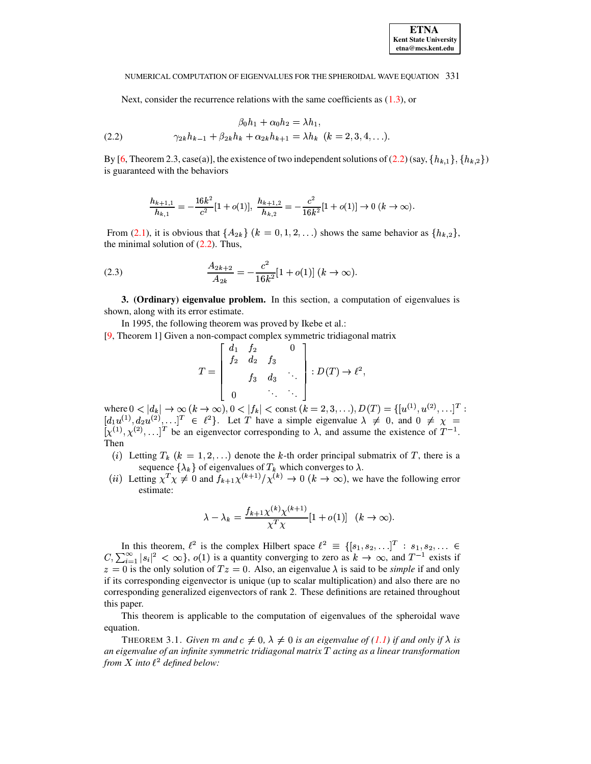<span id="page-2-0"></span>Next, consider the recurrence relations with the same coefficients as  $(1.3)$ , or

(2.2) 
$$
\beta_0 h_1 + \alpha_0 h_2 = \lambda h_1,
$$

$$
\gamma_{2k} h_{k-1} + \beta_{2k} h_k + \alpha_{2k} h_{k+1} = \lambda h_k \quad (k = 2, 3, 4, \ldots).
$$

By [6, Theorem 2.3, case(a)], the existence of two independent solutions of (2.2) (say,  $\{h_{k,1}\}, \{h_{k,2}\}\$ is guaranteed with the behaviors

$$
\frac{h_{k+1,1}}{h_{k,1}} = -\frac{16k^2}{c^2} [1 + o(1)], \frac{h_{k+1,2}}{h_{k,2}} = -\frac{c^2}{16k^2} [1 + o(1)] \to 0 \ (k \to \infty).
$$

From (2.1), it is obvious that  $\{A_{2k}\}\ (k=0,1,2,\ldots)$  shows the same behavior as  $\{h_{k,2}\}\$ , the minimal solution of  $(2.2)$ . Thus,

<span id="page-2-1"></span>(2.3) 
$$
\frac{A_{2k+2}}{A_{2k}} = -\frac{c^2}{16k^2} [1 + o(1)] (k \to \infty).
$$

**3. (Ordinary) eigenvalue problem.** In this section, a computation of eigenvalues is shown, along with its error estimate.

In 1995, the following theorem was proved by Ikebe et al.:

[9, Theorem 1] Given a non-compact complex symmetric tridiagonal matrix

$$
T = \begin{bmatrix} d_1 & f_2 & 0 \\ f_2 & d_2 & f_3 \\ & f_3 & d_3 & \ddots \\ 0 & \ddots & \ddots \end{bmatrix} : D(T) \to \ell^2,
$$

where  $0 < |d_k| \to \infty$   $(k \to \infty)$ ,  $0 < |f_k| < \text{const } (k = 2, 3, ...)$ ,  $D(T) = \{ [u^{(1)}, u^{(2)}, ... ]^T : [d_1u^{(1)}, d_2u^{(2)}, ... ]^T \in \ell^2 \}$ . Let T have a simple eigenvalue  $\lambda \neq 0$ , and  $0 \neq \chi = [\chi^{(1)}, \chi^{(2)}, ... ]^T$  be an eigenvector corresponding to  $\$ Then

- (i) Letting  $T_k$  ( $k = 1, 2, ...$ ) denote the k-th order principal submatrix of T, there is a sequence  $\{\lambda_k\}$  of eigenvalues of  $T_k$  which converges to  $\lambda$ .<br>(*ii*) Letting  $\chi^T \chi \neq 0$  and  $f_{k+1} \chi^{(k+1)}/\chi^{(k)} \to 0$  ( $k \to \infty$ ), we have the following error
- estimate:

$$
\lambda - \lambda_k = \frac{f_{k+1} \chi^{(k)} \chi^{(k+1)}}{\chi^T \chi} [1 + o(1)] \quad (k \to \infty)
$$

In this theorem,  $\ell^2$  is the complex Hilbert space  $\ell^2 \equiv \{ [s_1, s_2, \ldots]^T : s_1, s_2, \ldots \in C, \sum_{i=1}^{\infty} |s_i|^2 < \infty \}$ ,  $o(1)$  is a quantity converging to zero as  $k \to \infty$ , and  $T^{-1}$  exists if  $z = 0$  is the only solution of  $Tz = 0$ . Also, an eigenvalue  $\lambda$  is said to be *simple* if and only if its corresponding eigenvector is unique (up to scalar multiplication) and also there are no corresponding generalized eigenvectors of rank 2. These definitions are retained throughout this paper.

This theorem is applicable to the computation of eigenvalues of the spheroidal wave equation.

THEOREM 3.1. Given m and  $c \neq 0$ ,  $\lambda \neq 0$  is an eigenvalue of (1.1) if and only if  $\lambda$  is an eigenvalue of an infinite symmetric tridiagonal matrix  $T$  acting as a linear transformation from X into  $\ell^2$  defined below: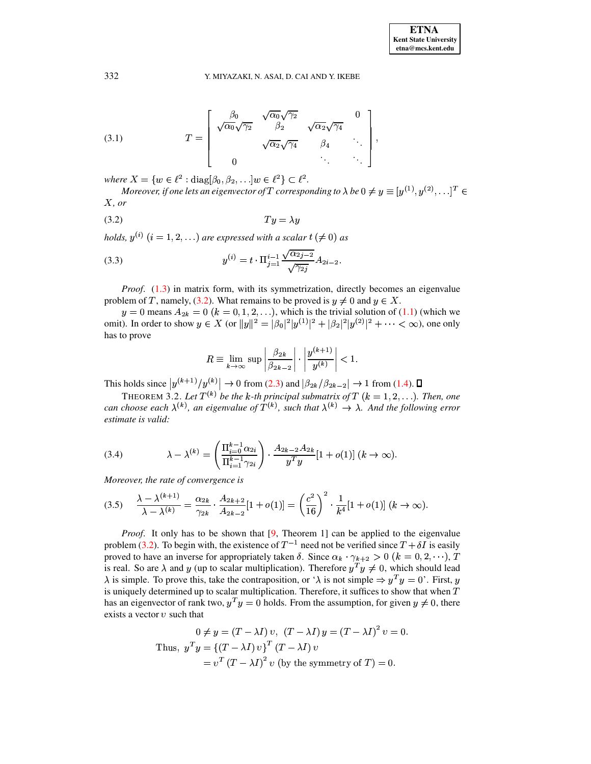<span id="page-3-5"></span>(3.1) 
$$
T = \begin{bmatrix} \frac{\beta_0}{\sqrt{\alpha_0}\sqrt{\gamma_2}} & \frac{\sqrt{\alpha_0}\sqrt{\gamma_2}}{\beta_2} & \frac{\sqrt{\alpha_2}\sqrt{\gamma_4}}{\beta_4} & \cdots \\ 0 & \cdots & \cdots \end{bmatrix},
$$

where  $X = \{w \in \ell^2 : \text{diag}(\beta_0, \beta_2, \ldots | w \in \ell^2) \subset \ell^2. \}$ 

Moreover, if one lets an eigenvector of T corresponding to  $\lambda$  be  $0 \neq y \equiv [y^{(1)}, y^{(2)}, \dots]^T \in$  $X, or$ 

<span id="page-3-0"></span>
$$
(3.2) \t\t Ty = \lambda y
$$

holds,  $y^{(i)}$   $(i = 1, 2, ...)$  are expressed with a scalar  $t \neq 0$  as

<span id="page-3-4"></span>(3.3) 
$$
y^{(i)} = t \cdot \Pi_{j=1}^{i-1} \frac{\sqrt{\alpha_{2j-2}}}{\sqrt{\gamma_{2j}}} A_{2i-2}.
$$

*Proof.* (1.3) in matrix form, with its symmetrization, directly becomes an eigenvalue problem of T, namely, (3.2). What remains to be proved is  $y \neq 0$  and  $y \in X$ .

 $y = 0$  means  $A_{2k} = 0$   $(k = 0, 1, 2, ...)$ , which is the trivial solution of (1.1) (which we omit). In order to show  $y \in X$  (or  $||y||^2 = |\beta_0|^2 |y^{(1)}|^2 + |\beta_2|^2 |y^{(2)}|^2 + \cdots < \infty$ ), one only has to prove

$$
R \equiv \lim_{k \to \infty} \sup \left| \frac{\beta_{2k}}{\beta_{2k-2}} \right| \cdot \left| \frac{y^{(k+1)}}{y^{(k)}} \right| < 1.
$$

<span id="page-3-3"></span>This holds since  $|y^{(k+1)}/y^{(k)}| \to 0$  from (2.3) and  $|\beta_{2k}/\beta_{2k-2}| \to 1$  from (1.4).  $\Box$ 

THEOREM 3.2. Let  $T^{(k)}$  be the k-th principal submatrix of T ( $k = 1, 2, ...$ ). Then, one can choose each  $\lambda^{(k)}$ , an eigenvalue of  $T^{(k)}$ , such that  $\lambda^{(k)} \to \lambda$ . And the following error estimate is valid:

<span id="page-3-1"></span>(3.4) 
$$
\lambda - \lambda^{(k)} = \left( \frac{\Pi_{i=0}^{k-1} \alpha_{2i}}{\Pi_{i=1}^{k-1} \gamma_{2i}} \right) \cdot \frac{A_{2k-2} A_{2k}}{y^T y} [1 + o(1)] (k \to \infty).
$$

Moreover, the rate of convergence is

<span id="page-3-2"></span>
$$
(3.5) \quad \frac{\lambda - \lambda^{(k+1)}}{\lambda - \lambda^{(k)}} = \frac{\alpha_{2k}}{\gamma_{2k}} \cdot \frac{A_{2k+2}}{A_{2k-2}} [1 + o(1)] = \left(\frac{c^2}{16}\right)^2 \cdot \frac{1}{k^4} [1 + o(1)] \ (k \to \infty).
$$

*Proof.* It only has to be shown that  $[9,$  Theorem 1] can be applied to the eigenvalue problem (3.2). To begin with, the existence of  $T^{-1}$  need not be verified since  $T + \delta I$  is easily proved to have an inverse for appropriately taken  $\delta$ . Since  $\alpha_k \cdot \gamma_{k+2} > 0$   $(k = 0, 2, \dots), T$ is real. So are  $\lambda$  and y (up to scalar multiplication). Therefore  $y^T y \neq 0$ , which should lead  $\lambda$  is simple. To prove this, take the contraposition, or ' $\lambda$  is not simple  $\Rightarrow y^T y = 0$ '. First, y is uniquely determined up to scalar multiplication. Therefore, it suffices to show that when  $T$ has an eigenvector of rank two,  $y^T y = 0$  holds. From the assumption, for given  $y \neq 0$ , there exists a vector  $v$  such that

$$
0 \neq y = (T - \lambda I) v, (T - \lambda I) y = (T - \lambda I)^2 v = 0.
$$
  
Thus,  $y^T y = \{(T - \lambda I) v\}^T (T - \lambda I) v$   
 $= v^T (T - \lambda I)^2 v$  (by the symmetry of  $T$ ) = 0.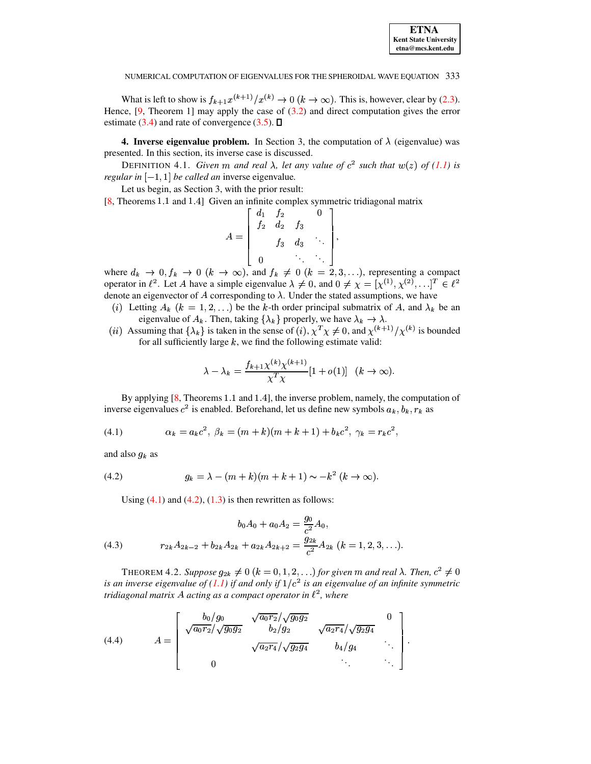

What is left to show is  $f_{k+1}x^{(k+1)}/x^{(k)} \to 0$   $(k \to \infty)$ . This is, however, clear by (2.3). Hence,  $[9,$  Theorem 1] may apply the case of  $(3.2)$  and direct computation gives the error estimate (3.4) and rate of convergence (3.5).  $\Box$ 

**4. Inverse eigenvalue problem.** In Section 3, the computation of  $\lambda$  (eigenvalue) was presented. In this section, its inverse case is discussed.

DEFINITION 4.1. Given m and real  $\lambda$ , let any value of  $c^2$  such that  $w(z)$  of (1.1) is regular in  $[-1, 1]$  be called an inverse eigenvalue.

Let us begin, as Section 3, with the prior result:

 $[8, Theorems 1.1 and 1.4]$  Given an infinite complex symmetric tridiagonal matrix

$$
A = \begin{bmatrix} d_1 & f_2 & & 0 \\ f_2 & d_2 & f_3 & \\ & f_3 & d_3 & \ddots \\ & & & \ddots & \ddots \end{bmatrix},
$$

where  $d_k \to 0, f_k \to 0$   $(k \to \infty)$ , and  $f_k \neq 0$   $(k = 2, 3, \ldots)$ , representing a compact operator in  $\ell^2$ . Let A have a simple eigenvalue  $\lambda \neq 0$ , and  $0 \neq \chi = [\chi^{(1)}, \chi^{(2)}, \ldots]^T \in \ell^2$ denote an eigenvector of  $A$  corresponding to  $\lambda$ . Under the stated assumptions, we have

- (i) Letting  $A_k$  ( $k = 1, 2, ...$ ) be the k-th order principal submatrix of A, and  $\lambda_k$  be an eigenvalue of  $A_k$ . Then, taking  $\{\lambda_k\}$  properly, we have  $\lambda_k \to \lambda$ .
- (*ii*) Assuming that  $\{\lambda_k\}$  is taken in the sense of (*i*),  $\chi^T \chi \neq 0$ , and  $\chi^{(k+1)}/\chi^{(k)}$  is bounded for all sufficiently large  $k$ , we find the following estimate valid:

$$
\lambda - \lambda_k = \frac{f_{k+1} \chi^{(k)} \chi^{(k+1)}}{\chi^T \chi} [1 + o(1)] \quad (k \to \infty)
$$

By applying [8, Theorems 1.1 and 1.4], the inverse problem, namely, the computation of inverse eigenvalues  $c^2$  is enabled. Beforehand, let us define new symbols  $a_k, b_k, r_k$  as

<span id="page-4-0"></span>(4.1) 
$$
\alpha_k = a_k c^2, \ \beta_k = (m+k)(m+k+1) + b_k c^2, \ \gamma_k = r_k c^2,
$$

and also  $g_k$  as

<span id="page-4-1"></span>(4.2) 
$$
g_k = \lambda - (m+k)(m+k+1) \sim -k^2 (k \to \infty).
$$

<span id="page-4-2"></span>Using  $(4.1)$  and  $(4.2)$ ,  $(1.3)$  is then rewritten as follows:

(4.3) 
$$
b_0 A_0 + a_0 A_2 = \frac{g_0}{c^2} A_0,
$$

$$
r_{2k} A_{2k-2} + b_{2k} A_{2k} + a_{2k} A_{2k+2} = \frac{g_{2k}}{c^2} A_{2k} \ (k = 1, 2, 3, \ldots).
$$

THEOREM 4.2. Suppose  $g_{2k} \neq 0$   $(k = 0, 1, 2, ...)$  for given m and real  $\lambda$ . Then,  $c^2 \neq 0$ is an inverse eigenvalue of (1.1) if and only if  $1/c^2$  is an eigenvalue of an infinite symmetric tridiagonal matrix A acting as a compact operator in  $\ell^2$ , where

<span id="page-4-3"></span>(4.4) 
$$
A = \begin{bmatrix} b_0/g_0 & \sqrt{a_0 r_2}/\sqrt{g_0 g_2} & 0\\ \sqrt{a_0 r_2}/\sqrt{g_0 g_2} & b_2/g_2 & \sqrt{a_2 r_4}/\sqrt{g_2 g_4} & 0\\ \sqrt{a_2 r_4}/\sqrt{g_2 g_4} & b_4/g_4 & \cdots\\ 0 & \cdots & \cdots \end{bmatrix}
$$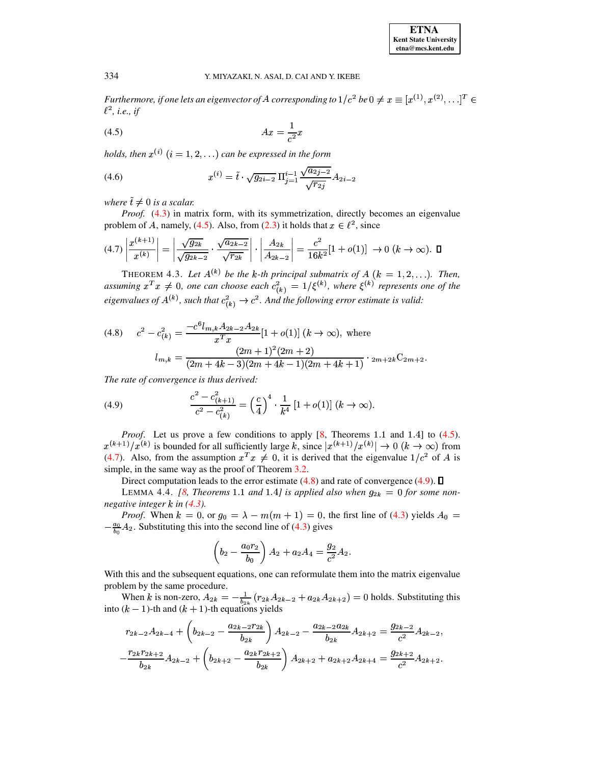Furthermore, if one lets an eigenvector of A corresponding to  $1/c^2$  be  $0 \neq x \equiv [x^{(1)}, x^{(2)}, \ldots]^T \in$  $\ell^2$ , i.e., if

<span id="page-5-0"></span>
$$
(4.5)\qquad \qquad Ax = \frac{1}{c^2}x
$$

holds, then  $x^{(i)}$   $(i = 1, 2, ...)$  can be expressed in the form

<span id="page-5-4"></span>(4.6) 
$$
x^{(i)} = \tilde{t} \cdot \sqrt{g_{2i-2}} \Pi_{j=1}^{i-1} \frac{\sqrt{a_{2j-2}}}{\sqrt{r_{2j}}} A_{2i-2}
$$

where  $\tilde{t} \neq 0$  is a scalar.

*Proof.* (4.3) in matrix form, with its symmetrization, directly becomes an eigenvalue problem of A, namely, (4.5). Also, from (2.3) it holds that  $x \in \ell^2$ , since

<span id="page-5-1"></span>
$$
(4.7)\left|\frac{x^{(k+1)}}{x^{(k)}}\right| = \left|\frac{\sqrt{g_{2k}}}{\sqrt{g_{2k-2}}}\cdot\frac{\sqrt{a_{2k-2}}}{\sqrt{r_{2k}}}\right|\cdot\left|\frac{A_{2k}}{A_{2k-2}}\right| = \frac{c^2}{16k^2}[1+o(1)] \to 0 \ (k \to \infty). \ \ \Box
$$

THEOREM 4.3. Let  $A^{(k)}$  be the k-th principal submatrix of  $A$   $(k = 1, 2, ...)$ . Then, assuming  $x^T x \neq 0$ , one can choose each  $c^2_{(k)} = 1/\xi^{(k)}$ , where  $\xi^{(k)}$  represents one of the eigenvalues of  $A^{(k)}$ , such that  $c_{(k)}^2 \rightarrow c^2$ . And the following error estimate is valid:

<span id="page-5-2"></span>
$$
(4.8) \qquad c^2 - c_{(k)}^2 = \frac{-c^6 l_{m,k} A_{2k-2} A_{2k}}{x^T x} [1 + o(1)] \ (k \to \infty), \text{ where}
$$
\n
$$
l_{m,k} = \frac{(2m+1)^2 (2m+2)}{(2m+4k-3)(2m+4k-1)(2m+4k+1)} \cdot 2m + 2k C_{2m+2}.
$$

The rate of convergence is thus derived:

<span id="page-5-3"></span>(4.9) 
$$
\frac{c^2 - c_{(k+1)}^2}{c^2 - c_{(k)}^2} = \left(\frac{c}{4}\right)^4 \cdot \frac{1}{k^4} \left[1 + o(1)\right] (k \to \infty).
$$

*Proof.* Let us prove a few conditions to apply  $[8,$  Theorems 1.1 and 1.4] to  $(4.5)$ .  $x^{(k+1)}/x^{(k)}$  is bounded for all sufficiently large k, since  $|x^{(k+1)}/x^{(k)}| \to 0$   $(k \to \infty)$  from (4.7). Also, from the assumption  $x^T x \neq 0$ , it is derived that the eigenvalue  $1/c^2$  of A is simple, in the same way as the proof of Theorem 3.2.

Direct computation leads to the error estimate  $(4.8)$  and rate of convergence  $(4.9)$ .  $\Box$ 

LEMMA 4.4. [8, Theorems 1.1 and 1.4] is applied also when  $g_{2k} = 0$  for some nonnegative integer  $k$  in (4.3).

*Proof.* When  $k = 0$ , or  $g_0 = \lambda - m(m + 1) = 0$ , the first line of (4.3) yields  $A_0 =$  $-\frac{a_0}{b_0}A_2$ . Substituting this into the second line of (4.3) gives

$$
\left(b_2 - \frac{a_0 r_2}{b_0}\right) A_2 + a_2 A_4 = \frac{g_2}{c^2} A_2.
$$

With this and the subsequent equations, one can reformulate them into the matrix eigenvalue problem by the same procedure.

When k is non-zero,  $A_{2k} = -\frac{1}{b_{2k}} (r_{2k}A_{2k-2} + a_{2k}A_{2k+2}) = 0$  holds. Substituting this into  $(k - 1)$ -th and  $(k + 1)$ -th equations yields

$$
r_{2k-2}A_{2k-4} + \left(b_{2k-2} - \frac{a_{2k-2}r_{2k}}{b_{2k}}\right)A_{2k-2} - \frac{a_{2k-2}a_{2k}}{b_{2k}}A_{2k+2} = \frac{g_{2k-2}}{c^2}A_{2k-2},
$$
  

$$
-\frac{r_{2k}r_{2k+2}}{b_{2k}}A_{2k-2} + \left(b_{2k+2} - \frac{a_{2k}r_{2k+2}}{b_{2k}}\right)A_{2k+2} + a_{2k+2}A_{2k+4} = \frac{g_{2k+2}}{c^2}A_{2k+2}.
$$

334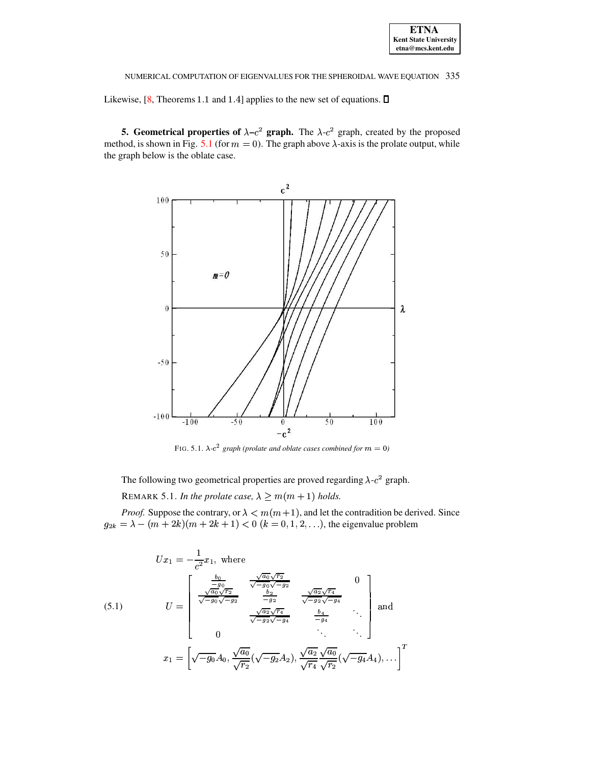Likewise,  $[8,$  Theorems 1.1 and 1.4] applies to the new set of equations.  $\square$ 

5. Geometrical properties of  $\lambda - c^2$  graph. The  $\lambda - c^2$  graph, created by the proposed method, is shown in Fig. 5.1 (for  $m = 0$ ). The graph above  $\lambda$ -axis is the prolate output, while the graph below is the oblate case.



FIG. 5.1.  $\lambda$ - $c^2$  graph (prolate and oblate cases combined for  $m = 0$ )

<span id="page-6-0"></span>The following two geometrical properties are proved regarding  $\lambda$ - $c^2$  graph. REMARK 5.1. In the prolate case,  $\lambda \ge m(m+1)$  holds.

*Proof.* Suppose the contrary, or  $\lambda < m(m+1)$ , and let the contradition be derived. Since  $g_{2k} = \lambda - (m + 2k)(m + 2k + 1) < 0$   $(k = 0, 1, 2, ...),$  the eigenvalue problem

<span id="page-6-1"></span>
$$
U x_1 = -\frac{1}{c^2} x_1, \text{ where}
$$
  
\n(5.1) 
$$
U = \begin{bmatrix} \frac{b_0}{g_0} & \frac{\sqrt{a_0}\sqrt{r_2}}{\sqrt{-g_0}\sqrt{-g_2}} & 0\\ \frac{\sqrt{a_0}\sqrt{r_2}}{\sqrt{-g_0}\sqrt{-g_2}} & \frac{b_2}{-g_2} & \frac{\sqrt{a_2}\sqrt{r_4}}{\sqrt{-g_2}\sqrt{-g_4}}\\ \frac{\sqrt{a_2}\sqrt{r_4}}{\sqrt{-g_2}\sqrt{-g_4}} & \frac{b_4}{-g_4} & \dots\\ 0 & \dots & \dots \end{bmatrix} \text{ and}
$$

$$
x_1 = \begin{bmatrix} \sqrt{-g_0} A_0, \frac{\sqrt{a_0}}{\sqrt{r_2}} (\sqrt{-g_2} A_2), \frac{\sqrt{a_2}}{\sqrt{r_4}} \frac{\sqrt{a_0}}{\sqrt{r_2}} (\sqrt{-g_4} A_4), \dots \end{bmatrix}^T
$$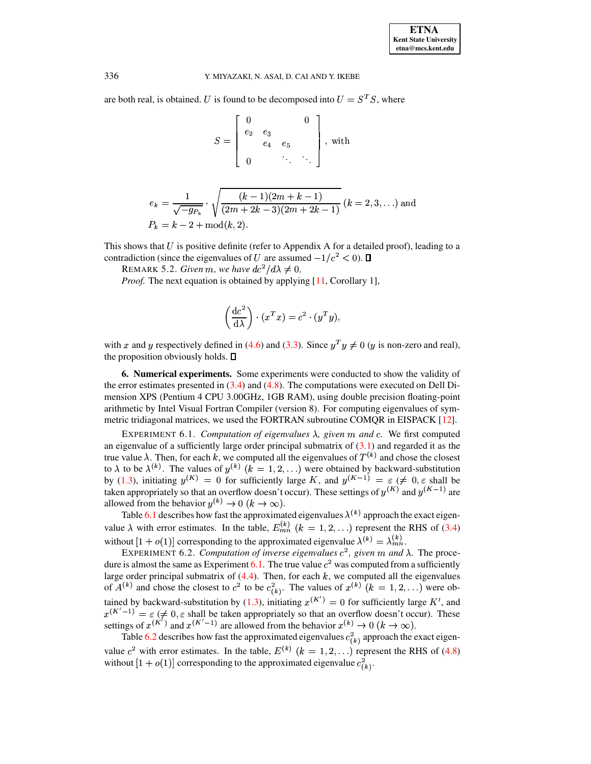are both real, is obtained. U is found to be decomposed into  $U = S<sup>T</sup>S$ , where

$$
S = \left[ \begin{array}{ccc} 0 & & 0 \\ e_2 & e_3 & \\ e_4 & e_5 & \\ 0 & \ddots & \ddots \end{array} \right], \text{ with }
$$

$$
e_k = \frac{1}{\sqrt{-g_{P_k}}} \cdot \sqrt{\frac{(k-1)(2m+k-1)}{(2m+2k-3)(2m+2k-1)}} \ (k=2,3,\ldots) \text{ and}
$$

$$
P_k = k-2 + \text{mod}(k,2).
$$

This shows that  $U$  is positive definite (refer to Appendix A for a detailed proof), leading to a contradiction (since the eigenvalues of U are assumed  $-1/c^2 < 0$ ).  $\Box$ 

REMARK 5.2. Given m, we have  $dc^2/d\lambda \neq 0$ .

*Proof.* The next equation is obtained by applying [11, Corollary 1],

$$
\left(\frac{dc^2}{d\lambda}\right) \cdot (x^T x) = c^2 \cdot (y^T y),
$$

with x and y respectively defined in (4.6) and (3.3). Since  $y^T y \neq 0$  (y is non-zero and real), the proposition obviously holds.  $\Box$ 

**6. Numerical experiments.** Some experiments were conducted to show the validity of the error estimates presented in  $(3.4)$  and  $(4.8)$ . The computations were executed on Dell Dimension XPS (Pentium 4 CPU 3.00GHz, 1GB RAM), using double precision floating-point arithmetic by Intel Visual Fortran Compiler (version 8). For computing eigenvalues of symmetric tridiagonal matrices, we used the FORTRAN subroutine COMQR in EISPACK [12].

<span id="page-7-0"></span>EXPERIMENT 6.1. Computation of eigenvalues  $\lambda$ , given m and c. We first computed an eigenvalue of a sufficiently large order principal submatrix of  $(3.1)$  and regarded it as the true value  $\lambda$ . Then, for each k, we computed all the eigenvalues of  $T^{(k)}$  and chose the closest to  $\lambda$  to be  $\lambda^{(k)}$ . The values of  $y^{(k)}$   $(k = 1, 2, ...)$  were obtained by backward-substitution by (1.3), initiating  $y^{(K)} = 0$  for sufficiently large K, and  $y^{(K-1)} = \varepsilon \neq 0, \varepsilon$  shall be taken appropriately so that an overflow doesn't occur). These settings of  $y^{(K)}$  and  $y^{(K-1)}$  are allowed from the behavior  $y^{(k)} \rightarrow 0$   $(k \rightarrow \infty)$ .

Table 6.1 describes how fast the approximated eigenvalues  $\lambda^{(k)}$  approach the exact eigenvalue  $\lambda$  with error estimates. In the table,  $E_{mn}^{(k)}$  ( $k = 1, 2, ...$ ) represent the RHS of (3.4) without  $[1 + o(1)]$  corresponding to the approximated eigenvalue  $\lambda^{(k)} = \lambda_{mn}^{(k)}$ .

EXPERIMENT 6.2. Computation of inverse eigenvalues  $c^2$ , given m and  $\lambda$ . The procedure is almost the same as Experiment 6.1. The true value  $c<sup>2</sup>$  was computed from a sufficiently large order principal submatrix of  $(4.4)$ . Then, for each k, we computed all the eigenvalues of  $A^{(k)}$  and chose the closest to  $c^2$  to be  $c_{(k)}^2$ . The values of  $x^{(k)}$   $(k = 1, 2, ...)$  were obtained by backward-substitution by (1.3), initiating  $x^{(K')} = 0$  for sufficiently large K', and  $x^{(K'-1)} = \varepsilon$  ( $\neq 0, \varepsilon$  shall be taken appropriately so that an overflow doesn't occur). These settings of  $x^{(K')}$  and  $x^{(K'-1)}$  are allowed from the behavior  $x^{(k)} \to 0$  ( $k \to \infty$ ).

Table 6.2 describes how fast the approximated eigenvalues  $c_{(k)}^2$  approach the exact eigenvalue  $c^2$  with error estimates. In the table,  $E^{(k)}$   $(k = 1, 2, ...)$  represent the RHS of (4.8) without  $[1 + o(1)]$  corresponding to the approximated eigenvalue  $c_{(k)}^2$ .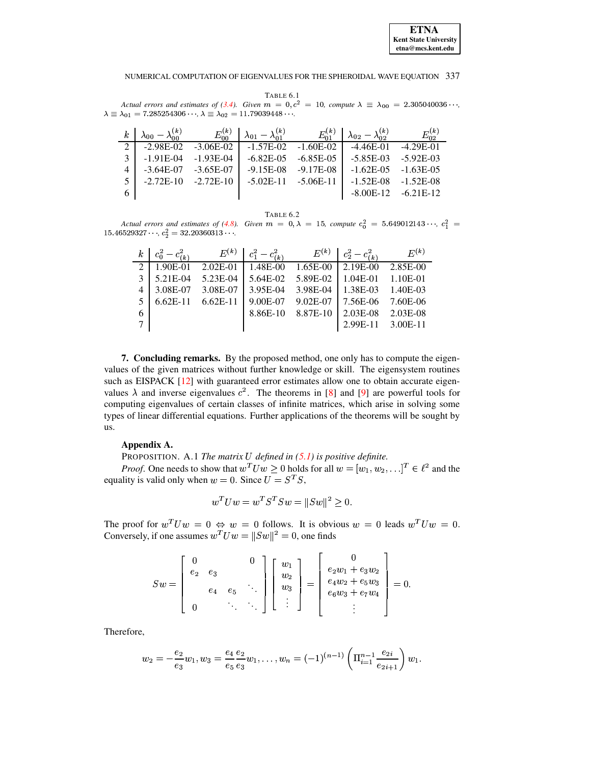<span id="page-8-0"></span>TABLE 6.1 Actual errors and estimates of (3.4). Given  $m = 0$ ,  $c^2 = 10$ , compute  $\lambda \equiv \lambda_{00} = 2.305040036 \cdots$ ,  $\lambda \equiv \lambda_{01} = 7.285254306 \cdots$ ,  $\lambda \equiv \lambda_{02} = 11.79039448 \cdots$ .

| $\boldsymbol{k}$ |             |             | $\begin{vmatrix} \lambda_{00} - \lambda_{00}^{(k)} & E_{00}^{(k)} & \lambda_{01} - \lambda_{01}^{(k)} & E_{01}^{(k)} \end{vmatrix}$ |             | $\lambda_{02} - \lambda_{\circ 2}^{(k)}$ | $E_{02}^{(k)}$         |
|------------------|-------------|-------------|-------------------------------------------------------------------------------------------------------------------------------------|-------------|------------------------------------------|------------------------|
| 2 <sup>1</sup>   | $-2.98E-02$ | $-3.06E-02$ | -1.57E-02                                                                                                                           | $-1.60E-02$ | $-4.46E-01$                              | $-4.29E-01$            |
| 3                | $-1.91E-04$ | $-1.93E-04$ | $-6.82E-0.5$                                                                                                                        | $-6.85E-05$ | $-5.85E-03$ $-5.92E-03$                  |                        |
| 4                | $-3.64E-07$ | $-3.65E-07$ | $-9.15E-08$                                                                                                                         | $-9.17E-08$ | $-1.62E - 0.5 - 1.63E - 0.5$             |                        |
| 5.               | $-2.72E-10$ | $-2.72E-10$ | $-5.02E-11$                                                                                                                         | -5.06E-11   | $-1.52E-08$ $-1.52E-08$                  |                        |
| 6                |             |             |                                                                                                                                     |             |                                          | $-8.00E-12 - 6.21E-12$ |

TABLE 6.2

<span id="page-8-1"></span>Actual errors and estimates of (4.8). Given  $m = 0, \lambda = 15$ , compute  $c_0^2 = 5.649012143...$ ,  $c_1^2 =$  $15.46529327$ ,  $c_2^2 = 32.20360313$ .

|                | $k \mid c_0^2 - c_{(k)}^2$ | $E^{(k)}$    | $c_1^2 - c_{(k)}^2$ | $E^{(k)}$ | $c_2^2-c_{(k)}^2$ | $E^{(k)}$ |
|----------------|----------------------------|--------------|---------------------|-----------|-------------------|-----------|
| 2              | $1.90E-01$                 | $2.02E - 01$ | 1.48E-00            | 1.65E-00  | $2.19E-00$        | 2.85E-00  |
| 3              | 5.21E-04                   | 5.23E-04     | 5.64E-02            | 5.89E-02  | 1.04E-01          | 1.10E-01  |
| $\overline{4}$ | 3.08E-07                   | 3.08E-07     | 3.95E-04            | 3.98E-04  | 1.38E-03          | 1.40E-03  |
| 5              | $6.62E-11$                 | $6.62E-11$   | 9.00E-07            | 9.02E-07  | 7.56E-06          | 7.60E-06  |
| 6              |                            |              | 8.86E-10            | 8.87E-10  | $2.03E-08$        | 2.03E-08  |
| 7              |                            |              |                     |           | 2.99E-11          | 3.00E-11  |

7. Concluding remarks. By the proposed method, one only has to compute the eigenvalues of the given matrices without further knowledge or skill. The eigensystem routines such as EISPACK [12] with guaranteed error estimates allow one to obtain accurate eigenvalues  $\lambda$  and inverse eigenvalues  $c^2$ . The theorems in [8] and [9] are powerful tools for computing eigenvalues of certain classes of infinite matrices, which arise in solving some types of linear differential equations. Further applications of the theorems will be sought by us.

## Appendix A.

PROPOSITION. A.1 The matrix  $U$  defined in  $(5.1)$  is positive definite.

*Proof.* One needs to show that  $w^T U w \geq 0$  holds for all  $w = [w_1, w_2, \ldots]^T \in \ell^2$  and the equality is valid only when  $w = 0$ . Since  $U = S^{T}S$ ,

$$
w^T U w = w^T S^T S w = ||Sw||^2 \ge 0.
$$

The proof for  $w^T U w = 0 \Leftrightarrow w = 0$  follows. It is obvious  $w = 0$  leads  $w^T U w = 0$ . Conversely, if one assumes  $w^T U w = ||Sw||^2 = 0$ , one finds

$$
Sw = \left[\begin{array}{cccc} 0 & 0 \\ e_2 & e_3 & \\ & e_4 & e_5 & \ddots \\ 0 & \ddots & \ddots \end{array}\right] \left[\begin{array}{c} w_1 \\ w_2 \\ w_3 \\ \vdots \end{array}\right] = \left[\begin{array}{c} 0 \\ e_2w_1 + e_3w_2 \\ e_4w_2 + e_5w_3 \\ e_6w_3 + e_7w_4 \\ \vdots \end{array}\right] = 0.
$$

Therefore,

$$
w_2 = -\frac{e_2}{e_3}w_1, w_3 = \frac{e_4}{e_5}\frac{e_2}{e_3}w_1, \ldots, w_n = (-1)^{(n-1)}\left(\Pi_{i=1}^{n-1}\frac{e_{2i}}{e_{2i+1}}\right)w_1.
$$